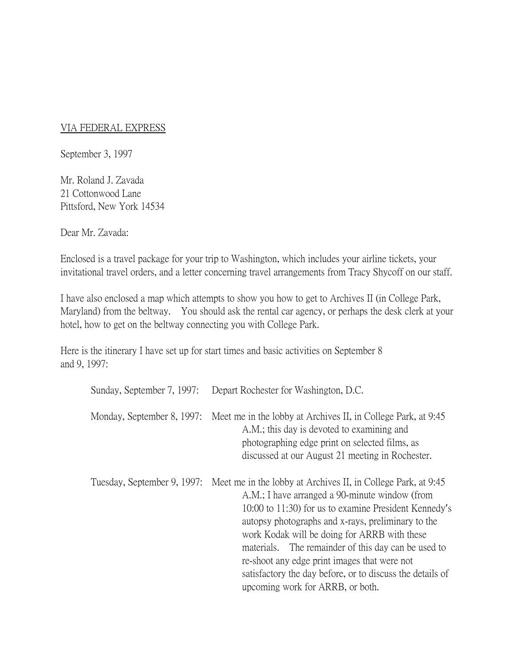## VIA FEDERAL EXPRESS

September 3, 1997

Mr. Roland J. Zavada 21 Cottonwood Lane Pittsford, New York 14534

Dear Mr. Zavada:

Enclosed is a travel package for your trip to Washington, which includes your airline tickets, your invitational travel orders, and a letter concerning travel arrangements from Tracy Shycoff on our staff.

I have also enclosed a map which attempts to show you how to get to Archives II (in College Park, Maryland) from the beltway. You should ask the rental car agency, or perhaps the desk clerk at your hotel, how to get on the beltway connecting you with College Park.

Here is the itinerary I have set up for start times and basic activities on September 8 and 9, 1997:

| Sunday, September 7, 1997:  | Depart Rochester for Washington, D.C.                                                                                                                                                                                                                                                                                                                                                                                                                                                  |
|-----------------------------|----------------------------------------------------------------------------------------------------------------------------------------------------------------------------------------------------------------------------------------------------------------------------------------------------------------------------------------------------------------------------------------------------------------------------------------------------------------------------------------|
| Monday, September 8, 1997:  | Meet me in the lobby at Archives II, in College Park, at 9:45<br>A.M.; this day is devoted to examining and<br>photographing edge print on selected films, as<br>discussed at our August 21 meeting in Rochester.                                                                                                                                                                                                                                                                      |
| Tuesday, September 9, 1997: | Meet me in the lobby at Archives II, in College Park, at 9:45<br>A.M.; I have arranged a 90-minute window (from<br>10:00 to 11:30) for us to examine President Kennedy's<br>autopsy photographs and x-rays, preliminary to the<br>work Kodak will be doing for ARRB with these<br>materials. The remainder of this day can be used to<br>re-shoot any edge print images that were not<br>satisfactory the day before, or to discuss the details of<br>upcoming work for ARRB, or both. |